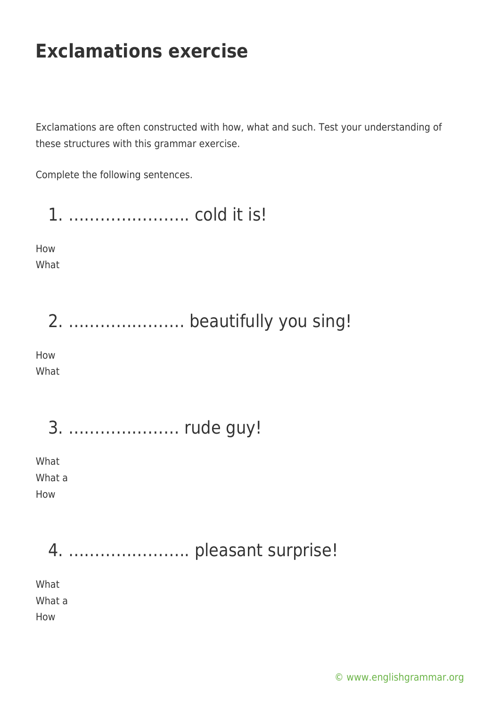Exclamations are often constructed with how, what and such. Test your understanding of these structures with this grammar exercise.

Complete the following sentences.

1. ………………….. cold it is! How What 2. …………………. beautifully you sing! How What 3. ………………… rude guy! What What a How 4. ………………….. pleasant surprise! What What a

How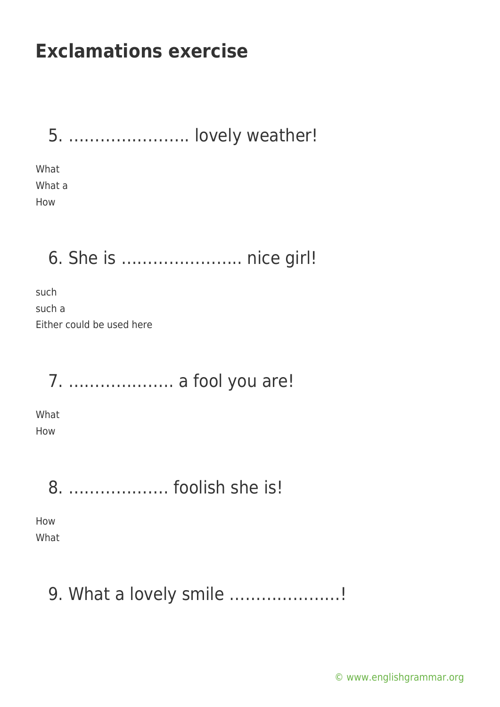5. ………………….. lovely weather!

What What a How

#### 6. She is ………………….. nice girl!

such such a Either could be used here

7. ……………….. a fool you are!

What How

8. ………………. foolish she is!

How What

#### 9. What a lovely smile …………………!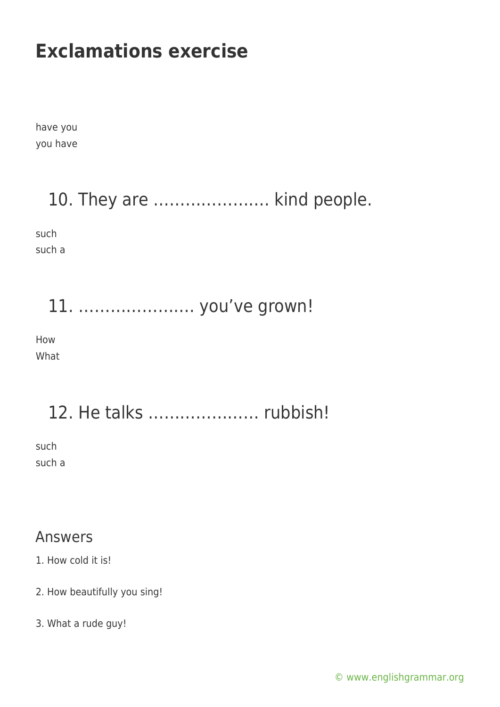have you you have

#### 10. They are …………………. kind people.

such such a

#### 11. …………………. you've grown!

How What

## 12. He talks ………………… rubbish!

such such a

#### Answers

1. How cold it is!

- 2. How beautifully you sing!
- 3. What a rude guy!